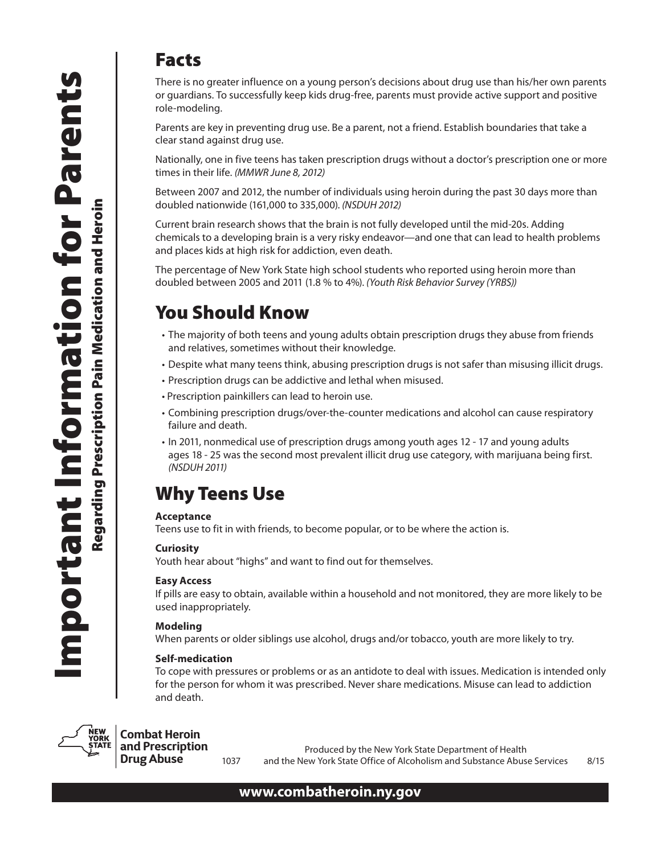### Facts

There is no greater influence on a young person's decisions about drug use than his/her own parents or guardians. To successfully keep kids drug-free, parents must provide active support and positive role-modeling.

Parents are key in preventing drug use. Be a parent, not a friend. Establish boundaries that take a clear stand against drug use.

Nationally, one in five teens has taken prescription drugs without a doctor's prescription one or more times in their life. *(MMWR June 8, 2012)*

Between 2007 and 2012, the number of individuals using heroin during the past 30 days more than doubled nationwide (161,000 to 335,000). *(NSDUH 2012)*

Current brain research shows that the brain is not fully developed until the mid-20s. Adding chemicals to a developing brain is a very risky endeavor—and one that can lead to health problems and places kids at high risk for addiction, even death.

The percentage of New York State high school students who reported using heroin more than doubled between 2005 and 2011 (1.8 % to 4%). *(Youth Risk Behavior Survey (YRBS))* 

## You Should Know

- The majority of both teens and young adults obtain prescription drugs they abuse from friends and relatives, sometimes without their knowledge.
- • Despite what many teens think, abusing prescription drugs is not safer than misusing illicit drugs.
- Prescription drugs can be addictive and lethal when misused.
- Prescription painkillers can lead to heroin use.
- • Combining prescription drugs/over-the-counter medications and alcohol can cause respiratory failure and death.
- In 2011, nonmedical use of prescription drugs among youth ages 12 17 and young adults ages 18 - 25 was the second most prevalent illicit drug use category, with marijuana being first. *(NSDUH 2011)*

# Why Teens Use

#### **Acceptance**

Teens use to fit in with friends, to become popular, or to be where the action is.

#### **Curiosity**

Youth hear about "highs" and want to find out for themselves.

#### **Easy Access**

If pills are easy to obtain, available within a household and not monitored, they are more likely to be used inappropriately.

#### **Modeling**

When parents or older siblings use alcohol, drugs and/or tobacco, youth are more likely to try.

#### **Self-medication**

To cope with pressures or problems or as an antidote to deal with issues. Medication is intended only for the person for whom it was prescribed. Never share medications. Misuse can lead to addiction and death.



### **Combat Heroin**

**and Prescription Drug Abuse**

Produced by the New York State Department of Health 1037 and the New York State Office of Alcoholism and Substance Abuse Services 8/15

### **www.combatheroin.ny.gov**